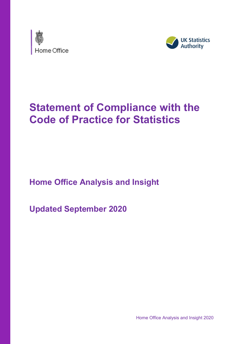



# **Statement of Compliance with the Code of Practice for Statistics**

**Home Office Analysis and Insight**

**Updated September 2020**

Home Office Analysis and Insight 2020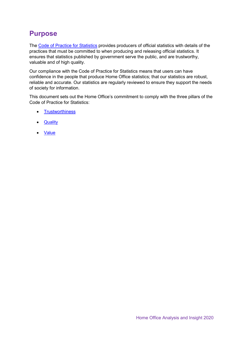# **Purpose**

The [Code of Practice for Statistics](https://www.statisticsauthority.gov.uk/code-of-practice/) provides producers of official statistics with details of the practices that must be committed to when producing and releasing official statistics. It ensures that statistics published by government serve the public, and are trustworthy, valuable and of high quality.

Our compliance with the Code of Practice for Statistics means that users can have confidence in the people that produce Home Office statistics; that our statistics are robust, reliable and accurate. Our statistics are regularly reviewed to ensure they support the needs of society for information.

This document sets out the Home Office's commitment to comply with the three pillars of the Code of Practice for Statistics:

- [Trustworthiness](#page-2-0)
- [Quality](#page-4-0)
- [Value](#page-5-0)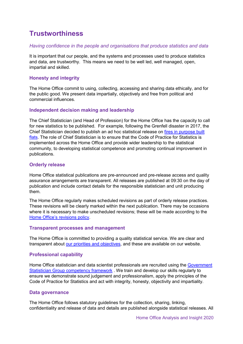### <span id="page-2-0"></span>**Trustworthiness**

#### *Having confidence in the people and organisations that produce statistics and data*

It is important that our people, and the systems and processes used to produce statistics and data, are trustworthy. This means we need to be well led, well managed, open, impartial and skilled.

#### **Honesty and integrity**

The Home Office commit to using, collecting, accessing and sharing data ethically, and for the public good. We present data impartially, objectively and free from political and commercial influences.

#### **Independent decision making and leadership**

The Chief Statistician (and Head of Profession) for the Home Office has the capacity to call for new statistics to be published. For example, following the Grenfell disaster in 2017, the Chief Statistician decided to publish an ad hoc statistical release on [fires in purpose built](https://www.gov.uk/government/statistics/fires-in-purpose-built-flats-england-april-2009-to-march-2017)  [flats.](https://www.gov.uk/government/statistics/fires-in-purpose-built-flats-england-april-2009-to-march-2017) The role of Chief Statistician is to ensure that the Code of Practice for Statistics is implemented across the Home Office and provide wider leadership to the statistical community, to developing statistical competence and promoting continual improvement in publications.

#### **Orderly release**

Home Office statistical publications are pre-announced and pre-release access and quality assurance arrangements are transparent. All releases are published at 09:30 on the day of publication and include contact details for the responsible statistician and unit producing them.

The Home Office regularly makes scheduled revisions as part of orderly release practices. These revisions will be clearly marked within the next publication. There may be occasions where it is necessary to make unscheduled revisions; these will be made according to the [Home Office's revisions policy.](https://www.gov.uk/government/publications/statement-of-compliance-with-the-code-of-practice-for-statistics-revisions-and-corrections-policy)

#### **Transparent processes and management**

The Home Office is committed to providing a quality statistical service. We are clear and transparent about [our priorities and objectives,](https://www.gov.uk/government/organisations/home-office/about) and these are available on our website.

#### **Professional capability**

Home Office statistician and data scientist professionals are recruited using the [Government](https://gss.civilservice.gov.uk/policy-store/competency-framework-for-the-government-statistician-group-gsg/)  [Statistician Group competency framework](https://gss.civilservice.gov.uk/policy-store/competency-framework-for-the-government-statistician-group-gsg/) . We train and develop our skills regularly to ensure we demonstrate sound judgement and professionalism, apply the principles of the Code of Practice for Statistics and act with integrity, honesty, objectivity and impartiality.

#### **Data governance**

The Home Office follows statutory guidelines for the collection, sharing, linking, confidentiality and release of data and details are published alongside statistical releases. All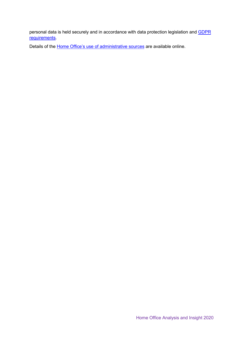personal data is held securely and in accordance with data protection legislation and **GDPR** [requirements.](https://gdpr-info.eu/)

Details of the **Home Office's use of administrative sources** are available online.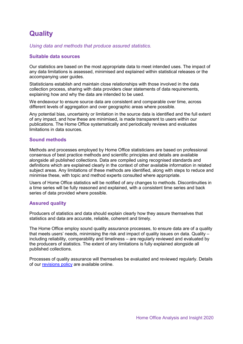# <span id="page-4-0"></span>**Quality**

*Using data and methods that produce assured statistics.*

#### **Suitable data sources**

Our statistics are based on the most appropriate data to meet intended uses. The impact of any data limitations is assessed, minimised and explained within statistical releases or the accompanying user guides.

Statisticians establish and maintain close relationships with those involved in the data collection process, sharing with data providers clear statements of data requirements, explaining how and why the data are intended to be used.

We endeavour to ensure source data are consistent and comparable over time, across different levels of aggregation and over geographic areas where possible.

Any potential bias, uncertainty or limitation in the source data is identified and the full extent of any impact, and how these are minimised, is made transparent to users within our publications. The Home Office systematically and periodically reviews and evaluates limitations in data sources.

#### **Sound methods**

Methods and processes employed by Home Office statisticians are based on professional consensus of best practice methods and scientific principles and details are available alongside all published collections. Data are compiled using recognised standards and definitions which are explained clearly in the context of other available information in related subject areas. Any limitations of these methods are identified, along with steps to reduce and minimise these, with topic and method experts consulted where appropriate.

Users of Home Office statistics will be notified of any changes to methods. Discontinuities in a time series will be fully reasoned and explained, with a consistent time series and back series of data provided where possible.

#### **Assured quality**

Producers of statistics and data should explain clearly how they assure themselves that statistics and data are accurate, reliable, coherent and timely.

The Home Office employ sound quality assurance processes, to ensure data are of a quality that meets users' needs, minimising the risk and impact of quality issues on data. Quality – including reliability, comparability and timeliness – are regularly reviewed and evaluated by the producers of statistics. The extent of any limitations is fully explained alongside all published collections.

Processes of quality assurance will themselves be evaluated and reviewed regularly. Details of our [revisions policy](https://www.gov.uk/government/publications/statement-of-compliance-with-the-code-of-practice-for-statistics-revisions-and-corrections-policy) are available online.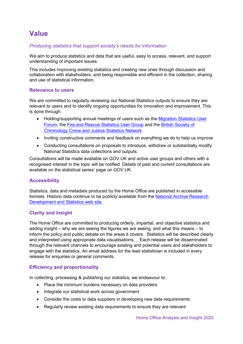### <span id="page-5-0"></span>**Value**

#### *Producing statistics that support society's needs for information*

We aim to produce statistics and data that are useful, easy to access, relevant, and support understanding of important issues.

This includes improving existing statistics and creating new ones through discussion and collaboration with stakeholders, and being responsible and efficient in the collection, sharing and use of statistical information.

#### **Relevance to users**

We are committed to regularly reviewing our National Statistics outputs to ensure they are relevant to users and to identify ongoing opportunities for innovation and improvement. This is done through:

- Holding/supporting annual meetings of users such as the [Migration Statistics User](https://www.jiscmail.ac.uk/cgi-bin/webadmin?A0=MIGRATION-STATS) [Forum,](https://www.jiscmail.ac.uk/cgi-bin/webadmin?A0=MIGRATION-STATS) the [Fire and Rescue Statistics User Group](https://www.frsug.org/) and the [British Society of](http://www.britsoccrim.org/networks/) [Criminology Crime and Justice Statistics Network](http://www.britsoccrim.org/networks/)
- Inviting constructive comments and feedback on everything we do to help us improve
- Conducting consultations on proposals to introduce, withdraw or substantially modify National Statistics data collections and outputs.

Consultations will be made available on GOV.UK and active user groups and others with a recognised interest in the topic will be notified. Details of past and current consultations are available on the statistical series' page on GOV.UK.

#### **Accessibility**

Statistics, data and metadata produced by the Home Office are published in accessible formats. Historic data continue to be publicly available from the [National Archive Research](https://webarchive.nationalarchives.gov.uk/20110218135833/http:/rds.homeoffice.gov.uk/rds/index.html)  [Development and Statistics web site.](https://webarchive.nationalarchives.gov.uk/20110218135833/http:/rds.homeoffice.gov.uk/rds/index.html)

#### **Clarity and insight**

The Home Office are committed to producing orderly, impartial, and objective statistics and adding insight – why we are seeing the figures we are seeing, and what this means – to inform the policy and public debate on the areas it covers. Statistics will be described clearly and interpreted using appropriate data visualisations. . Each release will be disseminated through the relevant channels to encourage existing and potential users and stakeholders to engage with the statistics. An email address for the lead statistician is included in every release for enquiries or general comments.

#### **Efficiency and proportionality**

In collecting, processing & publishing our statistics, we endeavour to:

- Place the minimum burdens necessary on data providers
- Integrate our statistical work across government
- Consider the costs to data suppliers in developing new data requirements
- Regularly review existing data requirements to ensure they are relevant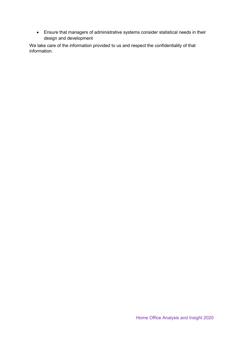• Ensure that managers of administrative systems consider statistical needs in their design and development

We take care of the information provided to us and respect the confidentiality of that information.